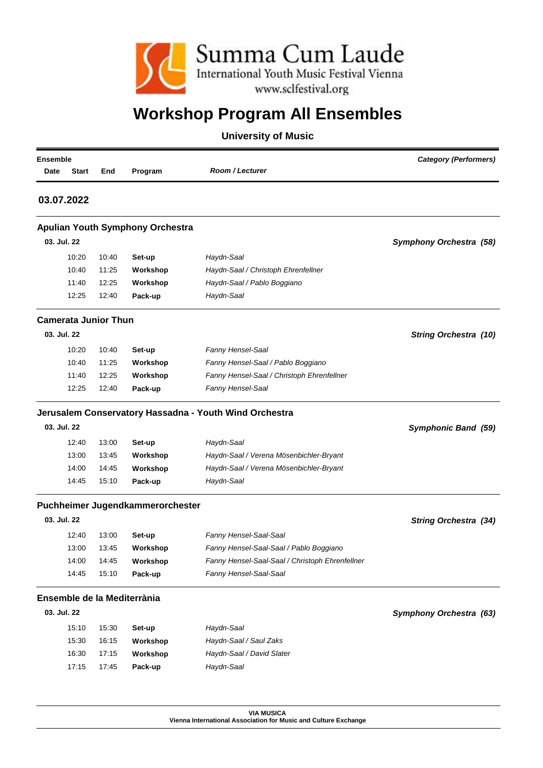

## **Workshop Program All Ensembles**

## **University of Music**

| <b>Ensemble</b>             |       | <b>Category (Performers)</b>            |                                                        |                                |
|-----------------------------|-------|-----------------------------------------|--------------------------------------------------------|--------------------------------|
| Date<br><b>Start</b>        | End   | Program                                 | Room / Lecturer                                        |                                |
| 03.07.2022                  |       |                                         |                                                        |                                |
|                             |       | <b>Apulian Youth Symphony Orchestra</b> |                                                        |                                |
| 03. Jul. 22                 |       |                                         |                                                        | <b>Symphony Orchestra (58)</b> |
| 10:20                       | 10:40 | Set-up                                  | Haydn-Saal                                             |                                |
| 10:40                       | 11:25 | Workshop                                | Haydn-Saal / Christoph Ehrenfellner                    |                                |
| 11:40                       | 12:25 | Workshop                                | Haydn-Saal / Pablo Boggiano                            |                                |
| 12:25                       | 12:40 | Pack-up                                 | Haydn-Saal                                             |                                |
| <b>Camerata Junior Thun</b> |       |                                         |                                                        |                                |
| 03. Jul. 22                 |       |                                         |                                                        | <b>String Orchestra (10)</b>   |
| 10:20                       | 10:40 | Set-up                                  | Fanny Hensel-Saal                                      |                                |
| 10:40                       | 11:25 | Workshop                                | Fanny Hensel-Saal / Pablo Boggiano                     |                                |
| 11:40                       | 12:25 | Workshop                                | Fanny Hensel-Saal / Christoph Ehrenfellner             |                                |
| 12:25                       | 12:40 | Pack-up                                 | Fanny Hensel-Saal                                      |                                |
|                             |       |                                         | Jerusalem Conservatory Hassadna - Youth Wind Orchestra |                                |
| 03. Jul. 22                 |       |                                         |                                                        | Symphonic Band (59)            |
| 12:40                       | 13:00 | Set-up                                  | Haydn-Saal                                             |                                |
| 13:00                       | 13:45 | Workshop                                | Haydn-Saal / Verena Mösenbichler-Bryant                |                                |
| 14:00                       | 14:45 | Workshop                                | Haydn-Saal / Verena Mösenbichler-Bryant                |                                |
| 14:45                       | 15:10 | Pack-up                                 | Haydn-Saal                                             |                                |
|                             |       | Puchheimer Jugendkammerorchester        |                                                        |                                |
| 03. Jul. 22                 |       |                                         |                                                        | <b>String Orchestra (34)</b>   |
| 12:40                       | 13:00 | Set-up                                  | Fanny Hensel-Saal-Saal                                 |                                |
| 13:00                       | 13:45 | Workshop                                | Fanny Hensel-Saal-Saal / Pablo Boggiano                |                                |
| 14:00                       | 14:45 | Workshop                                | Fanny Hensel-Saal-Saal / Christoph Ehrenfellner        |                                |
| 14:45                       | 15:10 | Pack-up                                 | Fanny Hensel-Saal-Saal                                 |                                |
|                             |       | Ensemble de la Mediterrània             |                                                        |                                |
|                             |       |                                         |                                                        | <b>Symphony Orchestra (63)</b> |
| 03. Jul. 22                 |       |                                         |                                                        |                                |
| 15:10                       | 15:30 | Set-up                                  | Haydn-Saal                                             |                                |
| 15:30                       | 16:15 | Workshop                                | Haydn-Saal / Saul Zaks                                 |                                |
| 16:30                       | 17:15 | Workshop                                | Haydn-Saal / David Slater                              |                                |

**VIA MUSICA Vienna International Association for Music and Culture Exchange**